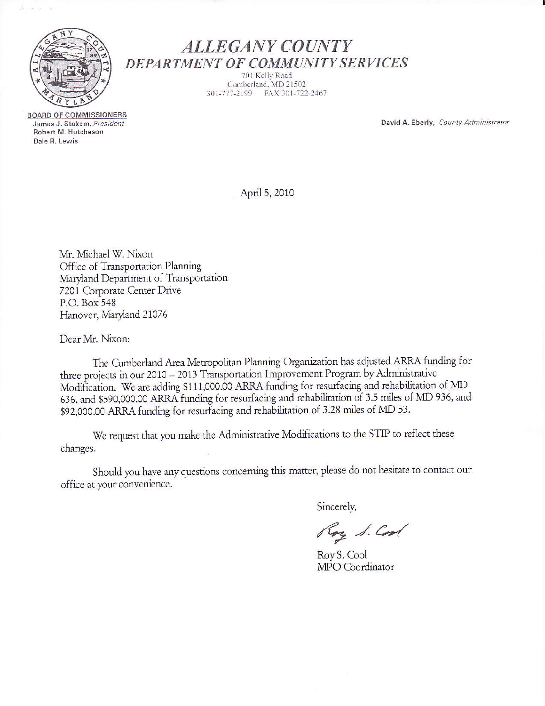

 $=$   $-$ 

**ALLEGANY COUNTY** DEPARTMENT OF COMMUNITY SERVICES

701 Kelly Road Cumberland, MD 21502 301-777-2199 FAX 301-722-2467

David A. Eberly, County Administrator

**BOARD OF COMMISSIONERS** James J. Stakem, President Robert M. Hutcheson Dale R. Lewis

April 5, 2010

Mr. Michael W. Nixon Office of Transportation Planning Maryland Department of Transportation 7201 Corporate Center Drive P.O. Box 548 Hanover, Maryland 21076

Dear Mr. Nixon:

The Cumberland Area Metropolitan Planning Organization has adjusted ARRA funding for three projects in our 2010 - 2013 Transportation Improvement Program by Administrative Modification. We are adding \$111,000.00 ARRA funding for resurfacing and rehabilitation of MD 636, and \$590,000.00 ARRA funding for resurfacing and rehabilitation of 3.5 miles of MD 936, and \$92,000.00 ARRA funding for resurfacing and rehabilitation of 3.28 miles of MD 53.

We request that you make the Administrative Modifications to the STIP to reflect these changes.

Should you have any questions concerning this matter, please do not hesitate to contact our office at your convenience.

Sincerely,

Roy S. Cool

Roy S. Cool MPO Coordinator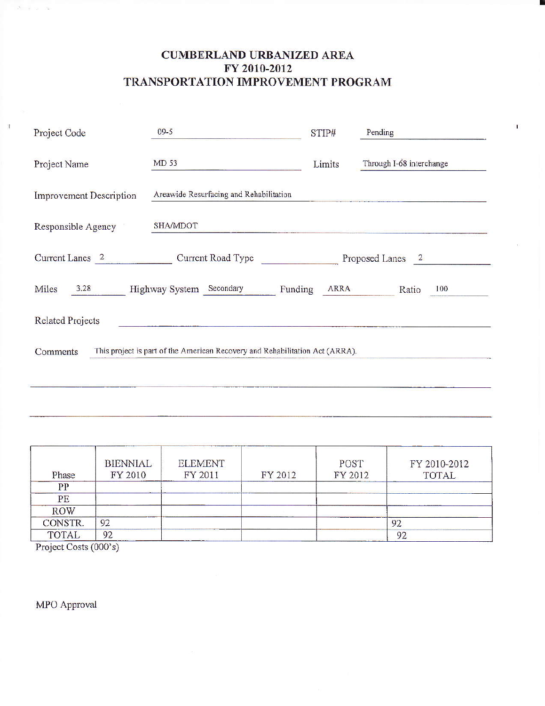## **CUMBERLAND URBANIZED AREA** FY 2010-2012 TRANSPORTATION IMPROVEMENT PROGRAM

 $\mathbf I$ 

| Project Code                                                                             | $09 - 5$                                | STIP#  | Pending                  |  |  |  |  |
|------------------------------------------------------------------------------------------|-----------------------------------------|--------|--------------------------|--|--|--|--|
| Project Name                                                                             | MD 53                                   | Limits | Through I-68 interchange |  |  |  |  |
| Improvement Description                                                                  | Areawide Resurfacing and Rehabilitation |        |                          |  |  |  |  |
| <b>SHA/MDOT</b><br>Responsible Agency                                                    |                                         |        |                          |  |  |  |  |
| Current Lanes 2<br>Current Road Type<br>Proposed Lanes 2                                 |                                         |        |                          |  |  |  |  |
| Miles<br>3,28<br>Highway System Secondary<br><b>ARRA</b><br>Funding<br>100<br>Ratio      |                                         |        |                          |  |  |  |  |
| <b>Related Projects</b>                                                                  |                                         |        |                          |  |  |  |  |
| This project is part of the American Recovery and Rehabilitation Act (ARRA).<br>Comments |                                         |        |                          |  |  |  |  |
|                                                                                          |                                         |        |                          |  |  |  |  |

| Phase        | <b>BIENNIAL</b><br>FY 2010 | <b>ELEMENT</b><br>FY 2011 | FY 2012 | POST<br>FY 2012 | FY 2010-2012<br><b>TOTAL</b> |
|--------------|----------------------------|---------------------------|---------|-----------------|------------------------------|
| PP           |                            |                           |         |                 |                              |
| PE           |                            |                           |         |                 |                              |
| <b>ROW</b>   |                            |                           |         |                 |                              |
| CONSTR.      | 92                         |                           |         |                 | 92                           |
| <b>TOTAL</b> | 92                         |                           |         |                 | 92                           |

Project Costs (000's)

 $S\rightarrow\infty$  ,  $\infty$ 

 $\mathbf{I}$ 

MPO Approval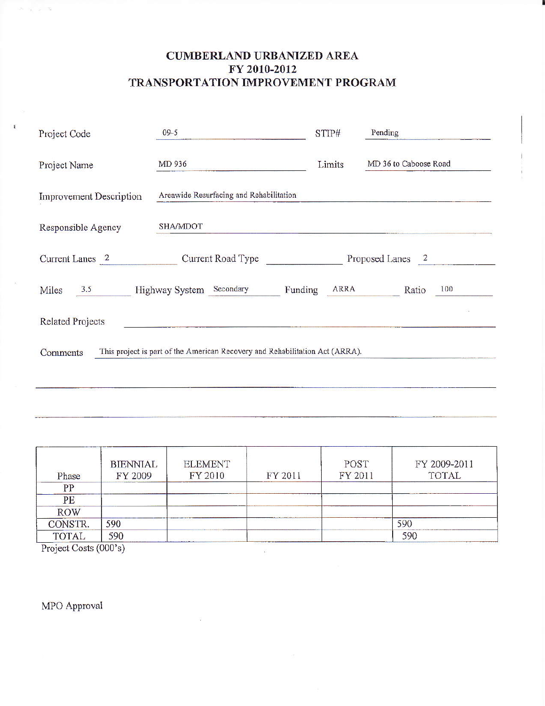## **CUMBERLAND URBANIZED AREA** FY 2010-2012 TRANSPORTATION IMPROVEMENT PROGRAM

| Project Code                                                                             | $09 - 5$                                |                  | Pending               |  |  |
|------------------------------------------------------------------------------------------|-----------------------------------------|------------------|-----------------------|--|--|
| Project Name                                                                             | MD 936                                  | Limits           | MD 36 to Caboose Road |  |  |
| <b>Improvement Description</b>                                                           | Areawide Resurfacing and Rehabilitation |                  |                       |  |  |
| SHA/MDOT<br>Responsible Agency                                                           |                                         |                  |                       |  |  |
| Current Lanes 2                                                                          | Current Road Type                       | Proposed Lanes 2 |                       |  |  |
| Miles<br>3.5                                                                             | Highway System Secondary<br>Funding     | ARRA             | 100<br>Ratio          |  |  |
| <b>Related Projects</b>                                                                  |                                         |                  |                       |  |  |
| This project is part of the American Recovery and Rehabilitation Act (ARRA).<br>Comments |                                         |                  |                       |  |  |
|                                                                                          |                                         |                  |                       |  |  |

| Phase               | <b>BIENNIAL</b><br>FY 2009 | <b>ELEMENT</b><br>FY 2010 | FY 2011 | POST<br>FY 2011 | FY 2009-2011<br>TOTAL |  |
|---------------------|----------------------------|---------------------------|---------|-----------------|-----------------------|--|
| PP                  |                            |                           |         |                 |                       |  |
| PE                  |                            |                           |         |                 |                       |  |
| <b>ROW</b>          |                            |                           |         |                 |                       |  |
| CONSTR.             | 590                        |                           |         |                 | 590                   |  |
| <b>TOTAL</b>        | 590                        |                           |         |                 | 590                   |  |
| B, C, C, C, D, D, D |                            |                           |         |                 |                       |  |

Project Costs (000's)

 $2^{\zeta_1}$   $\gamma_2$  ,  $\gamma_3$  ,  $3$ 

MPO Approval